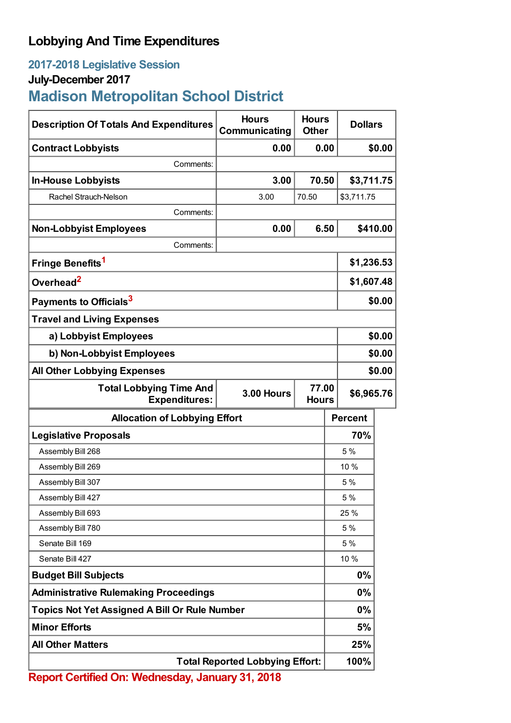## **Lobbying And Time Expenditures**

## **2017-2018 Legislative Session**

## **July-December 2017**

# **Madison Metropolitan School District**

| <b>Description Of Totals And Expenditures</b>          | <b>Hours</b><br>Communicating | <b>Hours</b><br><b>Other</b> | <b>Dollars</b>                      |          |
|--------------------------------------------------------|-------------------------------|------------------------------|-------------------------------------|----------|
| <b>Contract Lobbyists</b>                              | 0.00                          | 0.00                         |                                     | \$0.00   |
| Comments:                                              |                               |                              |                                     |          |
| <b>In-House Lobbyists</b>                              | 3.00                          | 70.50                        | \$3,711.75                          |          |
| Rachel Strauch-Nelson                                  | 3.00                          | 70.50                        | \$3,711.75                          |          |
| Comments:                                              |                               |                              |                                     |          |
| <b>Non-Lobbyist Employees</b>                          | 0.00                          | 6.50                         |                                     | \$410.00 |
| Comments:                                              |                               |                              |                                     |          |
| Fringe Benefits <sup>1</sup>                           |                               |                              | \$1,236.53                          |          |
| Overhead <sup>2</sup>                                  |                               |                              | \$1,607.48                          |          |
| Payments to Officials <sup>3</sup>                     |                               |                              |                                     | \$0.00   |
| <b>Travel and Living Expenses</b>                      |                               |                              |                                     |          |
| a) Lobbyist Employees                                  |                               |                              |                                     | \$0.00   |
| b) Non-Lobbyist Employees                              |                               |                              |                                     | \$0.00   |
| <b>All Other Lobbying Expenses</b>                     |                               |                              |                                     | \$0.00   |
| <b>Total Lobbying Time And</b><br><b>Expenditures:</b> | 3.00 Hours                    |                              | 77.00<br>\$6,965.76<br><b>Hours</b> |          |
| <b>Allocation of Lobbying Effort</b>                   |                               |                              | <b>Percent</b>                      |          |
| <b>Legislative Proposals</b>                           |                               |                              | 70%                                 |          |
| Assembly Bill 268                                      |                               |                              | 5 %                                 |          |
| Assembly Bill 269                                      |                               |                              | 10 %                                |          |
| Assembly Bill 307                                      |                               |                              | 5%                                  |          |
| Assembly Bill 427                                      |                               |                              | 5 %                                 |          |
| Assembly Bill 693                                      |                               |                              | 25 %                                |          |
| Assembly Bill 780                                      |                               |                              | 5%                                  |          |
| Senate Bill 169                                        |                               |                              | 5%                                  |          |
| Senate Bill 427                                        |                               |                              | 10 %                                |          |
| <b>Budget Bill Subjects</b>                            |                               |                              | 0%                                  |          |
| <b>Administrative Rulemaking Proceedings</b>           |                               |                              | $0\%$                               |          |
| <b>Topics Not Yet Assigned A Bill Or Rule Number</b>   |                               |                              | $0\%$                               |          |
| <b>Minor Efforts</b>                                   |                               |                              | 5%                                  |          |
| <b>All Other Matters</b>                               |                               |                              | 25%                                 |          |
| <b>Total Reported Lobbying Effort:</b>                 |                               |                              | 100%                                |          |

**Report Certified On: Wednesday, January 31, 2018**